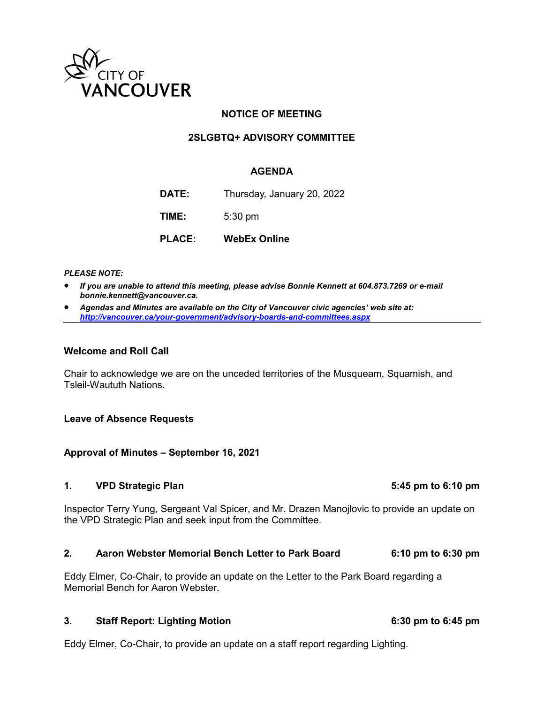

# **NOTICE OF MEETING**

# **2SLGBTQ+ ADVISORY COMMITTEE**

### **AGENDA**

**DATE:** Thursday, January 20, 2022

**TIME:** 5:30 pm

**PLACE: WebEx Online**

### *PLEASE NOTE:*

- *If you are unable to attend this meeting, please advise Bonnie Kennett at 604.873.7269 or e-mail bonnie.kennett@vancouver.ca.*
- *Agendas and Minutes are available on the City of Vancouver civic agencies' web site at: <http://vancouver.ca/your-government/advisory-boards-and-committees.aspx>*

### **Welcome and Roll Call**

Chair to acknowledge we are on the unceded territories of the Musqueam, Squamish, and Tsleil-Waututh Nations.

### **Leave of Absence Requests**

### **Approval of Minutes – September 16, 2021**

### **1. VPD Strategic Plan 5:45 pm to 6:10 pm**

Inspector Terry Yung, Sergeant Val Spicer, and Mr. Drazen Manojlovic to provide an update on the VPD Strategic Plan and seek input from the Committee.

### **2. Aaron Webster Memorial Bench Letter to Park Board 6:10 pm to 6:30 pm**

Eddy Elmer, Co-Chair, to provide an update on the Letter to the Park Board regarding a Memorial Bench for Aaron Webster.

### **3. Staff Report: Lighting Motion 6:30 pm to 6:45 pm**

Eddy Elmer, Co-Chair, to provide an update on a staff report regarding Lighting.